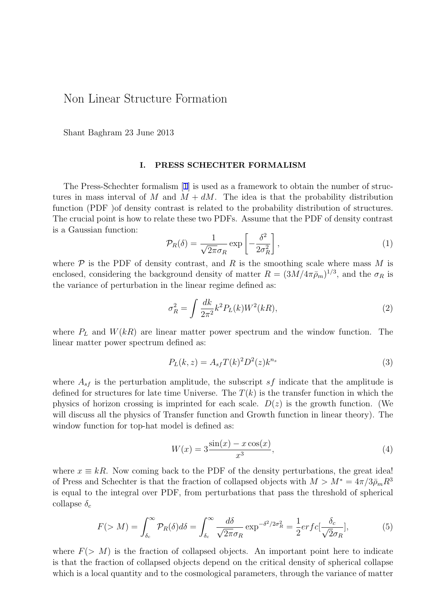## Non Linear Structure Formation

Shant Baghram 23 June 2013

## **I. PRESS SCHECHTER FORMALISM**

The Press-Schechter formalism [1] is used as a framework to obtain the number of structures in mass interval of *M* and  $M + dM$ . The idea is that the probability distribution function (PDF) of density contrast is related to the probability distribution of structures. The crucial point is how to relate t[he](#page-1-0)se two PDFs. Assume that the PDF of density contrast is a Gaussian function:

$$
\mathcal{P}_R(\delta) = \frac{1}{\sqrt{2\pi}\sigma_R} \exp\left[-\frac{\delta^2}{2\sigma_R^2}\right],\tag{1}
$$

where  $P$  is the PDF of density contrast, and  $R$  is the smoothing scale where mass  $M$  is enclosed, considering the background density of matter  $R = (3M/4\pi\bar{\rho}_m)^{1/3}$ , and the  $\sigma_R$  is the variance of perturbation in the linear regime defined as:

$$
\sigma_R^2 = \int \frac{dk}{2\pi^2} k^2 P_L(k) W^2(kR), \tag{2}
$$

where  $P_L$  and  $W(kR)$  are linear matter power spectrum and the window function. The linear matter power spectrum defined as:

$$
P_L(k, z) = A_{sf} T(k)^2 D^2(z) k^{n_s}
$$
\n(3)

where  $A_{sf}$  is the perturbation amplitude, the subscript  $sf$  indicate that the amplitude is defined for structures for late time Universe. The  $T(k)$  is the transfer function in which the physics of horizon crossing is imprinted for each scale. *D*(*z*) is the growth function. (We will discuss all the physics of Transfer function and Growth function in linear theory). The window function for top-hat model is defined as:

$$
W(x) = 3 \frac{\sin(x) - x \cos(x)}{x^3},
$$
\n(4)

where  $x \equiv kR$ . Now coming back to the PDF of the density perturbations, the great idea! of Press and Schechter is that the fraction of collapsed objects with  $M > M^* = 4\pi/3\bar{\rho}_m R^3$ is equal to the integral over PDF, from perturbations that pass the threshold of spherical collapse *δ<sup>c</sup>*

$$
F(>M) = \int_{\delta_c}^{\infty} \mathcal{P}_R(\delta) d\delta = \int_{\delta_c}^{\infty} \frac{d\delta}{\sqrt{2\pi}\sigma_R} \exp^{-\delta^2/2\sigma_R^2} = \frac{1}{2} erfc[\frac{\delta_c}{\sqrt{2}\sigma_R}],\tag{5}
$$

where  $F(> M)$  is the fraction of collapsed objects. An important point here to indicate is that the fraction of collapsed objects depend on the critical density of spherical collapse which is a local quantity and to the cosmological parameters, through the variance of matter